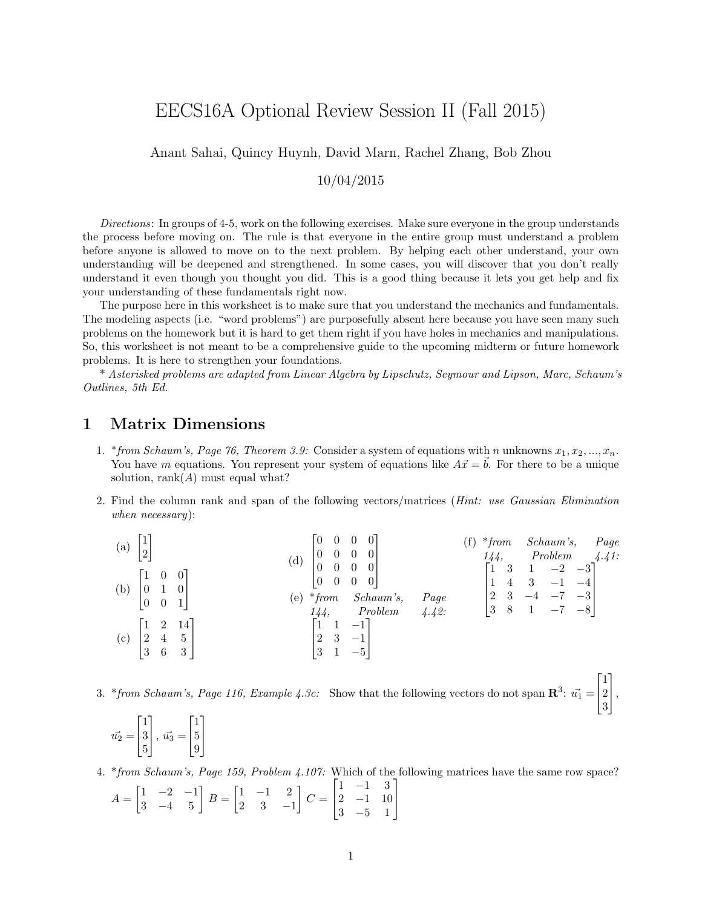# EECS16A Optional Review Session II (Fall 2015)

Anant Sahai, Quincy Huynh, David Marn, Rachel Zhang, Bob Zhou

10/04/2015

Directions: In groups of 4-5, work on the following exercises. Make sure everyone in the group understands the process before moving on. The rule is that everyone in the entire group must understand a problem before anyone is allowed to move on to the next problem. By helping each other understand, your own understanding will be deepened and strengthened. In some cases, you will discover that you don't really understand it even though you thought you did. This is a good thing because it lets you get help and fix your understanding of these fundamentals right now.

The purpose here in this worksheet is to make sure that you understand the mechanics and fundamentals. The modeling aspects (i.e. "word problems") are purposefully absent here because you have seen many such problems on the homework but it is hard to get them right if you have holes in mechanics and manipulations. So, this worksheet is not meant to be a comprehensive guide to the upcoming midterm or future homework problems. It is here to strengthen your foundations.

\* Asterisked problems are adapted from Linear Algebra by Lipschutz, Seymour and Lipson, Marc, Schaum's Outlines, 5th Ed.

#### 1 Matrix Dimensions

- 1. \*from Schaum's, Page 76, Theorem 3.9: Consider a system of equations with n unknowns  $x_1, x_2, ..., x_n$ . You have m equations. You represent your system of equations like  $A\vec{x} = \vec{b}$ . For there to be a unique solution, rank $(A)$  must equal what?
- 2. Find the column rank and span of the following vectors/matrices (Hint: use Gaussian Elimination when necessary):

(a) 
$$
\begin{bmatrix} 1 \\ 2 \end{bmatrix}
$$
  
\n(b)  $\begin{bmatrix} 1 & 0 & 0 \\ 0 & 1 & 0 \\ 0 & 0 & 1 \end{bmatrix}$   
\n(c)  $\begin{bmatrix} 1 & 2 & 14 \\ 2 & 4 & 5 \\ 3 & 6 & 3 \end{bmatrix}$   
\n(d)  $\begin{bmatrix} 0 & 0 & 0 & 0 \\ 0 & 0 & 0 & 0 \\ 0 & 0 & 0 & 0 \\ 0 & 0 & 0 & 0 \end{bmatrix}$   
\n(e) \* from Schaum's, Page 144, Problem 4.42:  
\n $\begin{bmatrix} 1 & 2 & 14 \\ 2 & 3 & -1 \\ 3 & 1 & -7 & -8 \end{bmatrix}$   
\n(f) \* from Schaum's, Problem 4.44; Problem 4.41:  
\n $\begin{bmatrix} 1 & 3 & 1 & -2 & -3 \\ 1 & 4 & 3 & -1 & -4 \\ 2 & 3 & -4 & -7 & -3 \\ 3 & 8 & 1 & -7 & -8 \end{bmatrix}$ 

3. \*from Schaum's, Page 116, Example 4.3c: Show that the following vectors do not span  $\mathbb{R}^3$ :  $\vec{u_1}$  =  $\overline{1}$ 1 2 3  $\vert$ ,

 $\lceil$ 

1

$$
\vec{u_2} = \begin{bmatrix} 1 \\ 3 \\ 5 \end{bmatrix}, \ \vec{u_3} = \begin{bmatrix} 1 \\ 5 \\ 9 \end{bmatrix}
$$

4. \*from Schaum's, Page 159, Problem 4.107: Which of the following matrices have the same row space?  $\begin{bmatrix} 1 & -1 & 3 \end{bmatrix}$ 

$$
A = \begin{bmatrix} 1 & -2 & -1 \\ 3 & -4 & 5 \end{bmatrix} B = \begin{bmatrix} 1 & -1 & 2 \\ 2 & 3 & -1 \end{bmatrix} C = \begin{bmatrix} 1 & -1 & 3 \\ 2 & -1 & 10 \\ 3 & -5 & 1 \end{bmatrix}
$$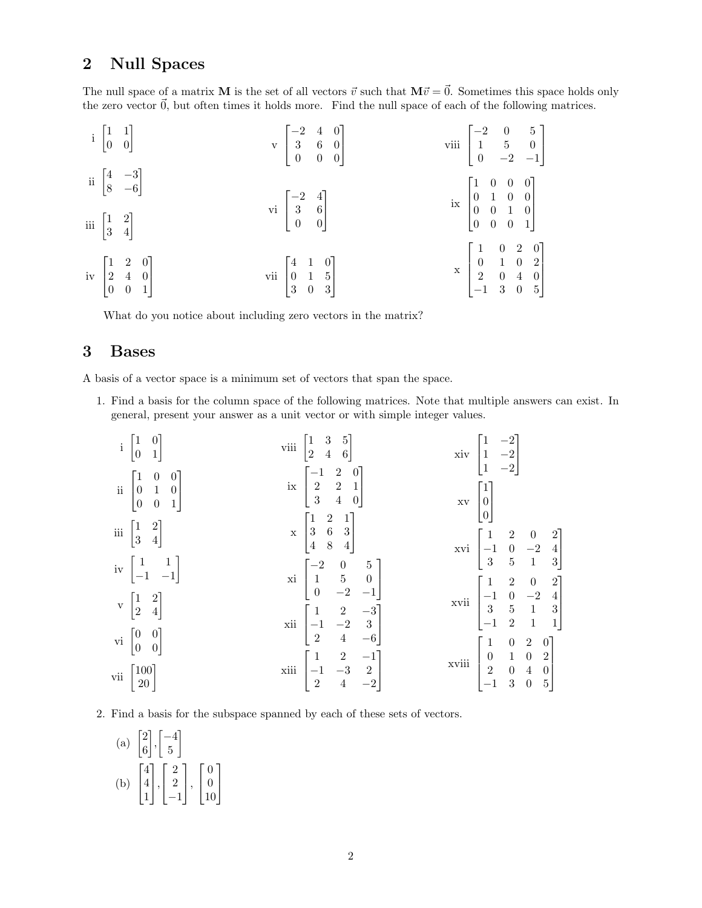### 2 Null Spaces

The null space of a matrix **M** is the set of all vectors  $\vec{v}$  such that  $M\vec{v} = \vec{0}$ . Sometimes this space holds only the zero vector  $\vec{0}$ , but often times it holds more. Find the null space of each of the following matrices.

|  | $i\begin{bmatrix} 1 & 1 \\ 0 & 0 \end{bmatrix}$                        | $\mathbf{v} \begin{bmatrix} -2 & 4 & 0 \\ 3 & 6 & 0 \\ 0 & 0 & 0 \end{bmatrix}$ | viii $\begin{bmatrix} -2 & 0 & 5 \\ 1 & 5 & 0 \\ 0 & -2 & -1 \end{bmatrix}$                                        |
|--|------------------------------------------------------------------------|---------------------------------------------------------------------------------|--------------------------------------------------------------------------------------------------------------------|
|  | ii $\begin{bmatrix} 4 & -3 \\ 8 & -6 \end{bmatrix}$                    |                                                                                 | $\operatorname{ix}~\begin{bmatrix} 1 & 0 & 0 & 0 \\ 0 & 1 & 0 & 0 \\ 0 & 0 & 1 & 0 \\ 0 & 0 & 0 & 1 \end{bmatrix}$ |
|  | iii $\begin{bmatrix} 1 & 2 \\ 3 & 4 \end{bmatrix}$                     | vi $\begin{bmatrix} -2 & 4 \\ 3 & 6 \\ 0 & 0 \end{bmatrix}$                     |                                                                                                                    |
|  | iv $\begin{bmatrix} 1 & 2 & 0 \\ 2 & 4 & 0 \\ 0 & 0 & 1 \end{bmatrix}$ | vii $\begin{bmatrix} 4 & 1 & 0 \\ 0 & 1 & 5 \\ 3 & 0 & 3 \end{bmatrix}$         | $\begin{array}{c cccc} x & 1 & 0 & 2 & 0 \\ 0 & 1 & 0 & 2 \\ 2 & 0 & 4 & 0 \\ -1 & 3 & 0 & 5 \end{array}$          |

What do you notice about including zero vectors in the matrix?

## 3 Bases

A basis of a vector space is a minimum set of vectors that span the space.

1. Find a basis for the column space of the following matrices. Note that multiple answers can exist. In general, present your answer as a unit vector or with simple integer values.

i 1 0 0 1 ii 1 0 0 0 1 0 0 0 1 iii 1 2 3 4 iv 1 1 −1 −1 v 1 2 2 4 vi 0 0 0 0 vii 100 20 viii 1 3 5 2 4 6 ix −1 2 0 2 2 1 3 4 0 x 1 2 1 3 6 3 4 8 4 xi −2 0 5 1 5 0 0 −2 −1 xii 1 2 −3 −1 −2 3 2 4 −6 xiii 1 2 −1 −1 −3 2 2 4 −2 xiv 1 −2 1 −2 1 −2 xv 1 0 0 xvi 1 2 0 2 −1 0 −2 4 3 5 1 3 xvii 1 2 0 2 −1 0 −2 4 3 5 1 3 −1 2 1 1 xviii 1 0 2 0 0 1 0 2 2 0 4 0 −1 3 0 5 

2. Find a basis for the subspace spanned by each of these sets of vectors.

(a) 
$$
\begin{bmatrix} 2 \\ 6 \end{bmatrix}, \begin{bmatrix} -4 \\ 5 \end{bmatrix}
$$
  
\n(b)  $\begin{bmatrix} 4 \\ 4 \\ 1 \end{bmatrix}, \begin{bmatrix} 2 \\ 2 \\ -1 \end{bmatrix}, \begin{bmatrix} 0 \\ 0 \\ 10 \end{bmatrix}$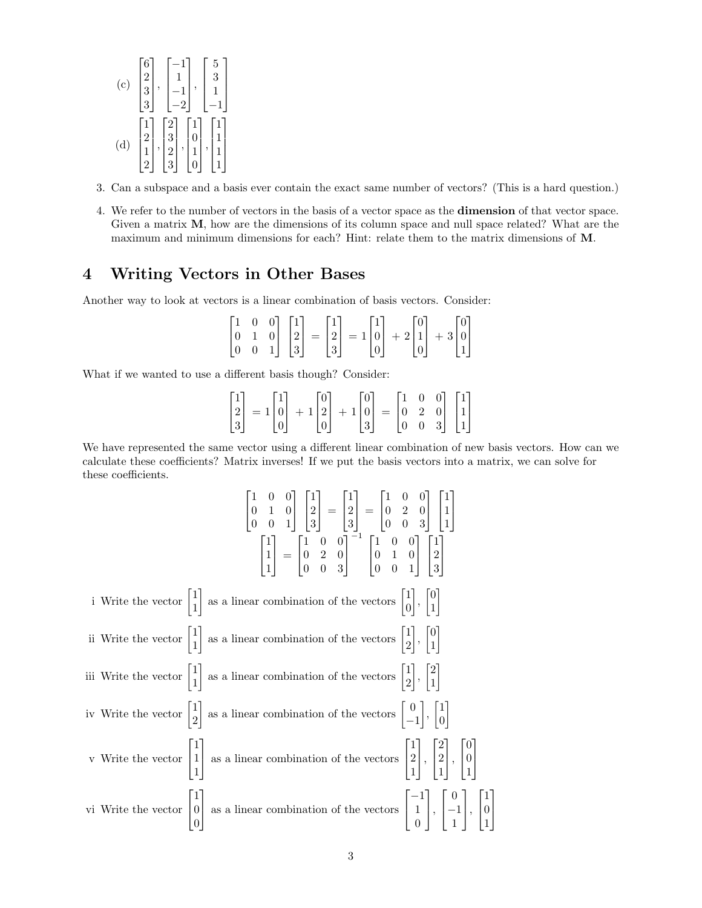(c) 
$$
\begin{bmatrix} 6\\2\\3\\3 \end{bmatrix}, \begin{bmatrix} -1\\1\\-1\\-2 \end{bmatrix}, \begin{bmatrix} 5\\3\\1\\-1 \end{bmatrix}
$$
  
(d) 
$$
\begin{bmatrix} 1\\2\\1\\2 \end{bmatrix}, \begin{bmatrix} 2\\3\\2\\3 \end{bmatrix}, \begin{bmatrix} 1\\0\\1\\0 \end{bmatrix}, \begin{bmatrix} 1\\1\\1\\1 \end{bmatrix}
$$

3. Can a subspace and a basis ever contain the exact same number of vectors? (This is a hard question.)

4. We refer to the number of vectors in the basis of a vector space as the dimension of that vector space. Given a matrix M, how are the dimensions of its column space and null space related? What are the maximum and minimum dimensions for each? Hint: relate them to the matrix dimensions of M.

### 4 Writing Vectors in Other Bases

Another way to look at vectors is a linear combination of basis vectors. Consider:

$$
\begin{bmatrix} 1 & 0 & 0 \\ 0 & 1 & 0 \\ 0 & 0 & 1 \end{bmatrix} \begin{bmatrix} 1 \\ 2 \\ 3 \end{bmatrix} = \begin{bmatrix} 1 \\ 2 \\ 3 \end{bmatrix} = 1 \begin{bmatrix} 1 \\ 0 \\ 0 \end{bmatrix} + 2 \begin{bmatrix} 0 \\ 1 \\ 0 \end{bmatrix} + 3 \begin{bmatrix} 0 \\ 0 \\ 1 \end{bmatrix}
$$

What if we wanted to use a different basis though? Consider:

|  | $\begin{bmatrix} 1 \\ 2 \\ 3 \end{bmatrix} = 1 \begin{bmatrix} 1 \\ 0 \\ 0 \end{bmatrix} + 1 \begin{bmatrix} 0 \\ 2 \\ 0 \end{bmatrix} + 1 \begin{bmatrix} 0 \\ 0 \\ 3 \end{bmatrix} = \begin{bmatrix} 1 & 0 & 0 \\ 0 & 2 & 0 \\ 0 & 0 & 3 \end{bmatrix} \begin{bmatrix} 1 \\ 1 \\ 1 \end{bmatrix}$ |  |  |
|--|-----------------------------------------------------------------------------------------------------------------------------------------------------------------------------------------------------------------------------------------------------------------------------------------------------|--|--|

We have represented the same vector using a different linear combination of new basis vectors. How can we calculate these coefficients? Matrix inverses! If we put the basis vectors into a matrix, we can solve for these coefficients.

|  | $\begin{bmatrix} 1 & 0 & 0 \\ 0 & 1 & 0 \\ 0 & 0 & 1 \end{bmatrix} \begin{bmatrix} 1 \\ 2 \\ 3 \end{bmatrix} = \begin{bmatrix} 1 \\ 2 \\ 3 \end{bmatrix} = \begin{bmatrix} 1 & 0 & 0 \\ 0 & 2 & 0 \\ 0 & 0 & 3 \end{bmatrix} \begin{bmatrix} 1 \\ 1 \\ 1 \\ 1 \end{bmatrix}$<br>$\begin{bmatrix} 1 \\ 1 \\ 1 \end{bmatrix} = \begin{bmatrix} 1 & 0 & 0 \\ 0 & 2 & 0 \\ 0 & 0 & 3 \end{bmatrix}^{-1} \begin{bmatrix} 1 & 0 & 0 \\ 0 & 1 & 0 \\ 0 & 0 & 1 \end{bmatrix} \begin{bmatrix} 1 \\ 2 \\ 3 \end{bmatrix}$ |
|--|------------------------------------------------------------------------------------------------------------------------------------------------------------------------------------------------------------------------------------------------------------------------------------------------------------------------------------------------------------------------------------------------------------------------------------------------------------------------------------------------------------------|
|  | i Write the vector $\begin{bmatrix} 1 \\ 1 \end{bmatrix}$ as a linear combination of the vectors $\begin{bmatrix} 1 \\ 0 \end{bmatrix}$ , $\begin{bmatrix} 0 \\ 1 \end{bmatrix}$                                                                                                                                                                                                                                                                                                                                 |
|  | ii Write the vector $\begin{bmatrix} 1 \\ 1 \end{bmatrix}$ as a linear combination of the vectors $\begin{bmatrix} 1 \\ 2 \end{bmatrix}$ , $\begin{bmatrix} 0 \\ 1 \end{bmatrix}$                                                                                                                                                                                                                                                                                                                                |
|  | iii Write the vector $\begin{bmatrix} 1 \\ 1 \end{bmatrix}$ as a linear combination of the vectors $\begin{bmatrix} 1 \\ 2 \end{bmatrix}$ , $\begin{bmatrix} 2 \\ 1 \end{bmatrix}$                                                                                                                                                                                                                                                                                                                               |
|  | iv Write the vector $\begin{bmatrix} 1 \\ 2 \end{bmatrix}$ as a linear combination of the vectors $\begin{bmatrix} 0 \\ -1 \end{bmatrix}$ , $\begin{bmatrix} 1 \\ 0 \end{bmatrix}$                                                                                                                                                                                                                                                                                                                               |
|  | v Write the vector $\begin{bmatrix} 1 \\ 1 \\ 1 \end{bmatrix}$ as a linear combination of the vectors $\begin{bmatrix} 1 \\ 2 \\ 1 \end{bmatrix}$ , $\begin{bmatrix} 2 \\ 2 \\ 1 \end{bmatrix}$ , $\begin{bmatrix} 0 \\ 0 \\ 1 \end{bmatrix}$                                                                                                                                                                                                                                                                    |
|  | vi Write the vector $\begin{bmatrix} 1 \\ 0 \\ 0 \end{bmatrix}$ as a linear combination of the vectors $\begin{bmatrix} -1 \\ 1 \\ 0 \end{bmatrix}, \begin{bmatrix} 0 \\ -1 \\ 1 \end{bmatrix}, \begin{bmatrix} 1 \\ 0 \\ 1 \end{bmatrix}$                                                                                                                                                                                                                                                                       |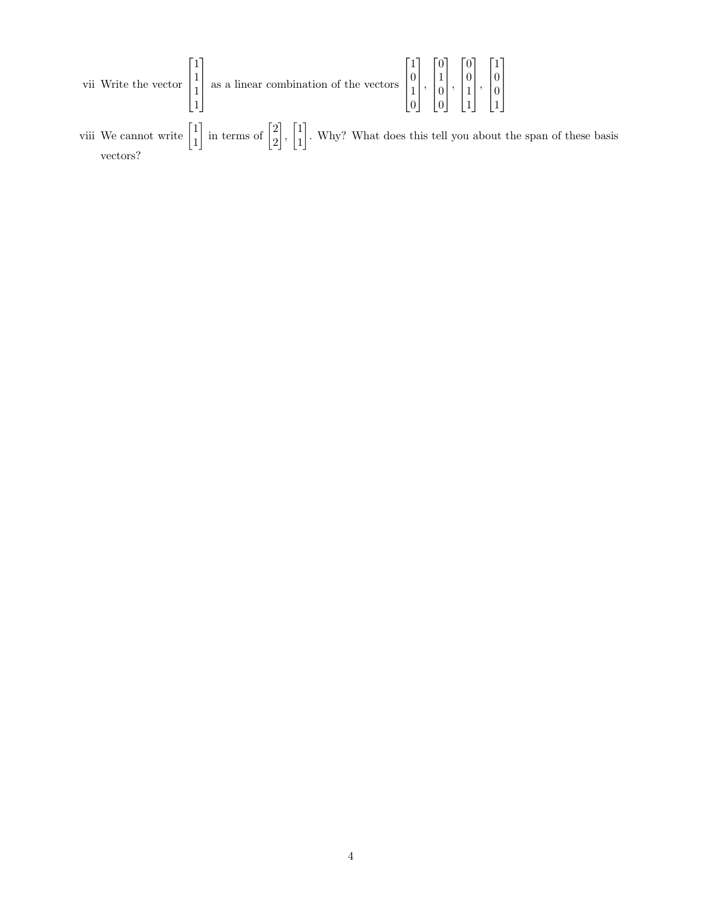|  | vii Write the vector $\begin{bmatrix} 1 \\ 1 \end{bmatrix}$ as a linear combination of the vectors $\begin{bmatrix} 0 \\ 1 \end{bmatrix}$ , $\begin{bmatrix} 1 \\ 0 \end{bmatrix}$ , $\begin{bmatrix} 0 \\ 1 \end{bmatrix}$ |  |  |  |  |  |  |
|--|-----------------------------------------------------------------------------------------------------------------------------------------------------------------------------------------------------------------------------|--|--|--|--|--|--|
|--|-----------------------------------------------------------------------------------------------------------------------------------------------------------------------------------------------------------------------------|--|--|--|--|--|--|

viii We cannot write  $\begin{bmatrix} 1 \\ 1 \end{bmatrix}$ 1  $\frac{1}{\pi}$  in terms of  $\frac{2}{\pi}$ 2  $\begin{bmatrix} 1 \\ 1 \end{bmatrix}$ 1 . Why? What does this tell you about the span of these basis vectors?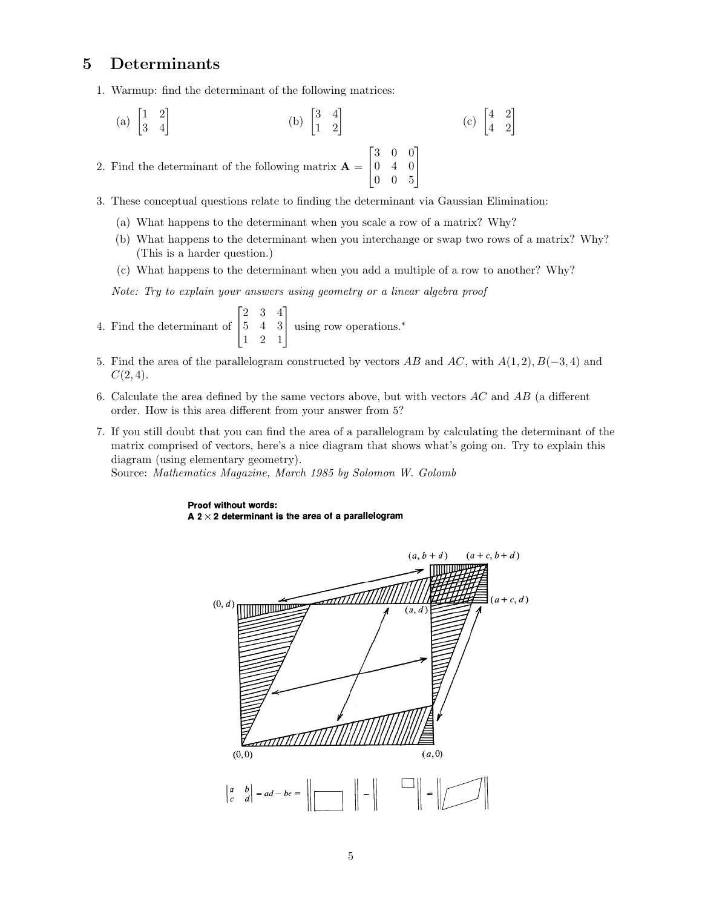#### 5 Determinants

- 1. Warmup: find the determinant of the following matrices:
	- (a)  $\begin{bmatrix} 1 & 2 \\ 3 & 4 \end{bmatrix}$ (b)  $\begin{bmatrix} 3 & 4 \\ 1 & 2 \end{bmatrix}$ (c)  $\begin{bmatrix} 4 & 2 \\ 4 & 2 \end{bmatrix}$

2. Find the determinant of the following matrix  $\mathbf{A} =$  $\lceil$  $\overline{\phantom{a}}$ 3 0 0 0 4 0 0 0 5 1  $\overline{1}$ 

3. These conceptual questions relate to finding the determinant via Gaussian Elimination:

- (a) What happens to the determinant when you scale a row of a matrix? Why?
- (b) What happens to the determinant when you interchange or swap two rows of a matrix? Why? (This is a harder question.)
- (c) What happens to the determinant when you add a multiple of a row to another? Why?

Note: Try to explain your answers using geometry or a linear algebra proof

- 4. Find the determinant of  $\lceil$  $\overline{1}$ 2 3 4 5 4 3 1 2 1 1 using row operations.<sup>∗</sup>
- 5. Find the area of the parallelogram constructed by vectors AB and AC, with  $A(1,2), B(-3,4)$  and  $C(2, 4)$ .
- 6. Calculate the area defined by the same vectors above, but with vectors  $AC$  and  $AB$  (a different order. How is this area different from your answer from 5?
- 7. If you still doubt that you can find the area of a parallelogram by calculating the determinant of the matrix comprised of vectors, here's a nice diagram that shows what's going on. Try to explain this diagram (using elementary geometry).

Source: Mathematics Magazine, March 1985 by Solomon W. Golomb

#### Proof without words: A 2  $\times$  2 determinant is the area of a parallelogram